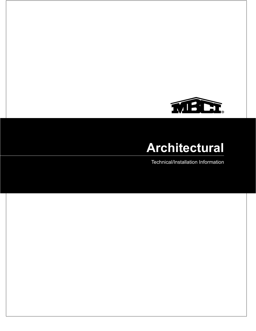

Technical/Installation Information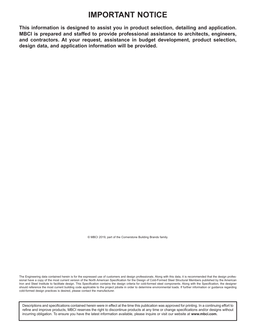### **IMPORTANT NOTICE**

**This information is designed to assist you in product selection, detailing and application. MBCI is prepared and staffed to provide professional assistance to architects, engineers, and contractors. At your request, assistance in budget development, product selection, design data, and application information will be provided.**

© MBCI 2019, part of the Cornerstone Building Brands family.

The Engineering data contained herein is for the expressed use of customers and design professionals. Along with this data, it is recommended that the design professional have a copy of the most current version of the North American Specification for the Design of Cold-Formed Steel Structural Members published by the American Iron and Steel Institute to facilitate design. This Specification contains the design criteria for cold-formed steel components. Along with the Specification, the designer should reference the most current building code applicable to the project jobsite in order to determine environmental loads. If further information or guidance regarding cold-formed design practices is desired, please contact the manufacturer.

Descriptions and specifications contained herein were in effect at the time this publication was approved for printing. In a continuing effort to refine and improve products, MBCI reserves the right to discontinue products at any time or change specifications and/or designs without incurring obligation. To ensure you have the latest information available, please inquire or visit our website at **www.mbci.com.**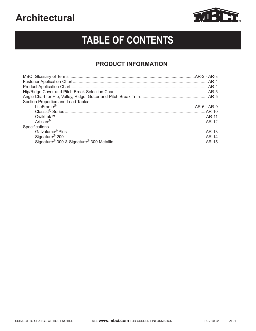

# **TABLE OF CONTENTS**

### **PRODUCT INFORMATION**

| Section Properties and Load Tables |  |
|------------------------------------|--|
|                                    |  |
|                                    |  |
|                                    |  |
|                                    |  |
| Specifications                     |  |
|                                    |  |
|                                    |  |
|                                    |  |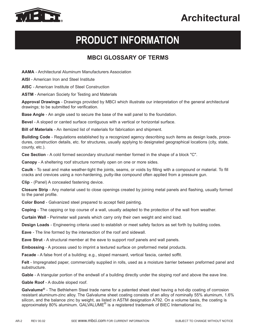

# **PRODUCT INFORMATION**

### **MBCI GLOSSARY OF TERMS**

**AAMA** - Architectural Aluminum Manufacturers Association

**AISI** - American Iron and Steel Institute

**AISC** - American Institute of Steel Construction

**ASTM** - American Society for Testing and Materials

**Approval Drawings** - Drawings provided by MBCI which illustrate our interpretation of the general architectural drawings; to be submitted for verification.

**Base Angle** - An angle used to secure the base of the wall panel to the foundation.

**Bevel** - A sloped or canted surface contiguous with a vertical or horizontal surface.

**Bill of Materials** - An itemized list of materials for fabrication and shipment.

**Building Code** - Regulations established by a recognized agency describing such items as design loads, procedures, construction details, etc. for structures, usually applying to designated geographical locations (city, state, county, etc.).

**Cee Section** - A cold formed secondary structural member formed in the shape of a block "C".

**Canopy** - A sheltering roof structure normally open on one or more sides.

**Caulk** - To seal and make weather-tight the joints, seams, or voids by filling with a compound or material. To fill cracks and crevices using a non-hardening, putty-like compound often applied from a pressure gun.

**Clip** - (Panel) A concealed fastening device.

**Closure Strip** - Any material used to close openings created by joining metal panels and flashing, usually formed to the panel profile.

**Color Bond** - Galvanized steel prepared to accept field painting.

**Coping** - The capping or top course of a wall, usually adapted to the protection of the wall from weather.

**Curtain Wall** - Perimeter wall panels which carry only their own weight and wind load.

**Design Loads** - Engineering criteria used to establish or meet safety factors as set forth by building codes.

**Eave** - The line formed by the intersection of the roof and sidewall.

**Eave Strut** - A structural member at the eave to support roof panels and wall panels.

**Embossing** - A process used to imprint a textured surface on preformed metal products.

**Facade** - A false front of a building; e.g., sloped mansard, vertical fascia, canted soffit.

**Felt** - Impregnated paper, commercially supplied in rolls, used as a moisture barrier between preformed panel and substructure.

**Gable** - A triangular portion of the endwall of a building directly under the sloping roof and above the eave line.

**Gable Roof** - A double sloped roof.

**Galvalume®** - The Bethlehem Steel trade name for a patented sheet steel having a hot-dip coating of corrosion resistant aluminum-zinc alloy. The Galvalume sheet coating consists of an alloy of nominally 55% aluminum, 1.6% silicon, and the balance zinc by weight, as listed in ASTM designation A792. On a volume basis, the coating is approximately 80% aluminum. GALVALUME<sup>®</sup> is a registered trademark of BIEC International Inc.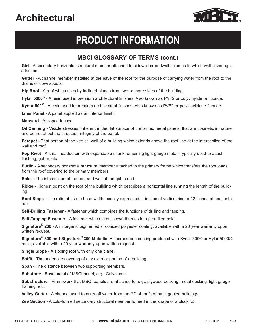

# **PRODUCT INFORMATION**

### **MBCI GLOSSARY OF TERMS (cont.)**

**Girt** - A secondary horizontal structural member attached to sidewall or endwall columns to which wall covering is attached.

**Gutter** - A channel member installed at the eave of the roof for the purpose of carrying water from the roof to the drains or downspouts.

**Hip Roof** - A roof which rises by inclined planes from two or more sides of the building.

**Hylar 5000®** - A resin used in premium architectural finishes. Also known as PVF2 or polyvinylidene fluoride.

**Kynar 500®** - A resin used in premium architectural finishes. Also known as PVF2 or polyvinylidene fluoride.

**Liner Panel** - A panel applied as an interior finish.

**Mansard** - A sloped facade.

**Oil Canning** - Visible stresses, inherent in the flat surface of preformed metal panels, that are cosmetic in nature and do not affect the structural integrity of the panel.

**Parapet** - That portion of the vertical wall of a building which extends above the roof line at the intersection of the wall and roof.

**Pop Rivet** - A small headed pin with expandable shank for joining light gauge metal. Typically used to attach flashing, gutter, etc.

**Purlin** - A secondary horizontal structural member attached to the primary frame which transfers the roof loads from the roof covering to the primary members.

**Rake** - The intersection of the roof and wall at the gable end.

**Ridge** - Highest point on the roof of the building which describes a horizontal line running the length of the building.

**Roof Slope** - The ratio of rise to base width, usually expressed in inches of vertical rise to 12 inches of horizontal run.

**Self-Drilling Fastener** - A fastener which combines the functions of drilling and tapping.

**Self-Tapping Fastener** - A fastener which taps its own threads in a predrilled hole.

**Signature® 200** - An inorganic pigmented siliconized polyester coating, available with a 20 year warranty upon written request.

**Signature® 300 and Signature® 300 Metallic**- A fluorocarbon coating produced with Kynar 500® or Hylar 5000® resin, available with a 20 year warranty upon written request.

**Single Slope** - A sloping roof with only one plane.

**Soffit** - The underside covering of any exterior portion of a building.

**Span** - The distance between two supporting members.

**Substrate** - Base metal of MBCI panel; e.g., Galvalume.

**Substructure** - Framework that MBCI panels are attached to; e.g., plywood decking, metal decking, light gauge framing, etc.

**Valley Gutter** - A channel used to carry off water from the "V" of roofs of multi-gabled buildings.

**Zee Section** - A cold-formed secondary structural member formed in the shape of a block "Z".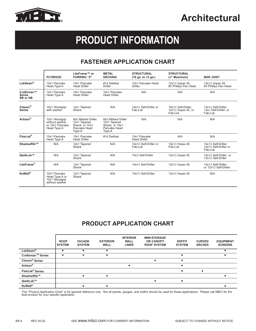

# **PRODUCT INFORMATION**

### **FASTENER APPLICATION CHART**

|                                         | <b>PLYWOOD</b>                                                    | LiteFrame™ or<br><b>FURRING "Z"</b>                                             | <b>METAL</b><br><b>DECKING</b>                                                 | <b>STRUCTURAL</b><br>$(16$ ga. to $12$ ga.) | <b>STRUCTURAL</b><br>$\binom{3}{8}$ " Maximum)                   | <b>BAR JOIST</b>                                        |
|-----------------------------------------|-------------------------------------------------------------------|---------------------------------------------------------------------------------|--------------------------------------------------------------------------------|---------------------------------------------|------------------------------------------------------------------|---------------------------------------------------------|
| LokSeam®                                | 10x1 Pancake<br>Head Type A                                       | 10x1 Pancake<br><b>Head Driller</b>                                             | #14 Dekfast<br>Driller                                                         | 10x1 Pancake Head<br><b>Driller</b>         | 12x1¼ Impax 45.<br>#3 Phillips Pan Head                          | 12x1% Impax 45.<br>#3 Phillips Pan Head                 |
| Craftsman™<br><b>Series</b><br>SB or HB | 10x1 Pancake<br>Head Type A                                       | 10x1 Pancake<br><b>Head Driller</b>                                             | 10x1 Pancake<br><b>Head Driller</b>                                            | N/A                                         | N/A                                                              | N/A                                                     |
| $Classic^{\circledR}$<br><b>Series</b>  | 10x1 Woodgrip<br>with washer                                      | 12x1 Tapered<br>Shank                                                           | N/A                                                                            | 14x1¼ Self-Driller or<br>Fab-Lok            | 14x1¼ Self-Driller.<br>$12x1\frac{1}{4}$ Impax 45, or<br>Fab-Lok | 14x1% Self-Driller<br>12x¼ Self-Driller, or<br>Fab-Lok  |
| Artisan <sup>®</sup>                    | 10x1 Woodgrip<br>without washer<br>or 10x1 Pancake<br>Head Type A | 8x% Nibbed Driller.<br>12x1 Tapered<br>Shank. or 10x1<br>Pancake Head<br>Type A | 8x% Nibbed Driller<br>12x1 Tapered<br>Shank. or 10x1<br>Pancake Head<br>Type A | N/A                                         | N/A                                                              | N/A                                                     |
| FlexLok®                                | 10x1 Pancake<br>Head Type A                                       | 10x1 Pancake<br><b>Head Driller</b>                                             | #14 Dekfast                                                                    | 10x1 Pancake<br><b>Head Driller</b>         | N/A                                                              | N/A                                                     |
| ShadowRib™                              | N/A                                                               | 12x1 Tapered<br>Shank                                                           | N/A                                                                            | 14x1¼ Self-Driller or<br>Fab-Lok            | 12x1¼ Impax 45<br>Fab-Lok                                        | 14x1¼ Self-Driller,<br>12x1¼ Self-Driller or<br>Fab-Lok |
| OwikLok™                                | N/A                                                               | 12x1 Tapered<br>Shank                                                           | N/A                                                                            | 14x¼ Self-Driller                           | 12x1¼ Impax 45                                                   | 14x1% Self-Driller or<br>12x1¼ Self-Driller             |
| LiteFrame®                              | N/A                                                               | 12x1 Tapered<br>Shank                                                           | N/A                                                                            | 14x1% Self-Driller                          | 12x1¼ Impax 45                                                   | 14x1% Self-Driller<br>or 12x1% Self-Driller             |
| NuWall®                                 | 10x1 Pancake<br>Head Type A or<br>10x1 Woodgrip<br>without washer | 12x1 Tapered<br>Shank                                                           | N/A                                                                            | 14x1% Self-Driller                          | 12x1¼ Impax 45                                                   | N/A                                                     |

### **PRODUCT APPLICATION CHART**

|                             | <b>ROOF</b><br><b>SYSTEM</b> | <b>FACADE</b><br><b>SYSTEM</b> | <b>EXTERIOR</b><br><b>WALL</b> | <b>INTERIOR</b><br><b>WALL</b><br><b>LINER</b> | <b>MINI-STORAGE</b><br><b>OR CANOPY</b><br><b>ROOF SYSTEM</b> | <b>SOFFIT</b><br><b>SYSTEM</b> | <b>CURVED</b><br><b>ARCHES</b> | <b>EQUIPMENT</b><br><b>SCREENS</b> |
|-----------------------------|------------------------------|--------------------------------|--------------------------------|------------------------------------------------|---------------------------------------------------------------|--------------------------------|--------------------------------|------------------------------------|
| LokSeam®                    |                              |                                |                                |                                                |                                                               |                                |                                |                                    |
| Craftsman™ Series           |                              |                                | ٠                              |                                                |                                                               | $\bullet$                      |                                |                                    |
| Classic <sup>®</sup> Series |                              |                                |                                |                                                |                                                               |                                |                                |                                    |
| Artisan <sup>®</sup>        |                              |                                |                                |                                                |                                                               |                                |                                |                                    |
| FlexLok® Series             |                              |                                |                                |                                                |                                                               |                                |                                |                                    |
| ShadowRib™                  |                              |                                |                                |                                                |                                                               |                                |                                |                                    |
| QwikLok™                    |                              |                                |                                |                                                |                                                               |                                |                                |                                    |
| <b>NuWall®</b>              |                              |                                |                                |                                                |                                                               |                                |                                |                                    |

This "Product Application Chart" is for general reference only. Not all panels, gauges, and widths should be used for these applications. Please call MBCI for the best product for your specific application.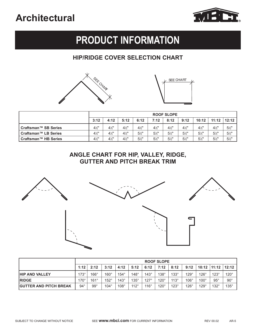

# **PRODUCT INFORMATION**

### **HIP/RIDGE COVER SELECTION CHART**





|                             |                | <b>ROOF SLOPE</b> |                |                |                |                |                |                |                |                |  |
|-----------------------------|----------------|-------------------|----------------|----------------|----------------|----------------|----------------|----------------|----------------|----------------|--|
|                             | 3:12           | 4:12              | 5:12           | 6:12           | 7:12           | 8:12           | 9:12           | 10:12          | 11:12          | 12:12          |  |
| Craftsman™ SB Series        | $4\frac{1}{2}$ | $4\frac{1}{2}$    | $4\frac{1}{2}$ | $4\frac{1}{2}$ | $4\frac{1}{2}$ | $4\frac{1}{2}$ | $4\frac{1}{2}$ | $4\frac{1}{2}$ | $4\frac{1}{2}$ | $5\frac{1}{2}$ |  |
| Craftsman™ LB Series        | $4\frac{1}{2}$ | $4\frac{1}{2}$    | $4\frac{1}{2}$ | $5\frac{1}{2}$ | $5\frac{1}{2}$ | $5\frac{1}{2}$ | $5\frac{1}{2}$ | $5\frac{1}{2}$ | $5\frac{1}{2}$ | $5\frac{1}{2}$ |  |
| <b>Craftsman™ HB Series</b> | $4\frac{1}{2}$ | $4\frac{1}{2}$    | $4\frac{1}{2}$ | $5\frac{1}{2}$ | $5\frac{1}{2}$ | $5\frac{1}{2}$ | $5\frac{1}{2}$ | $5\frac{1}{2}$ | $5\frac{1}{2}$ | $5\frac{1}{2}$ |  |

### **ANGLE CHART FOR HIP, VALLEY, RIDGE, GUTTER AND PITCH BREAK TRIM**



|                               |             | <b>ROOF SLOPE</b> |             |             |             |             |             |             |             |                 |              |              |
|-------------------------------|-------------|-------------------|-------------|-------------|-------------|-------------|-------------|-------------|-------------|-----------------|--------------|--------------|
|                               | 1:12        | 2:12              | 3:12        | 4:12        | 5:12        | 6:12        | 7:12        | 8:12        | 9:12        | $10:12$   11:12 |              | 12:12        |
| <b>HIP AND VALLEY</b>         | $173^\circ$ | $166^\circ$       | $160^\circ$ | $154^\circ$ | $148^\circ$ | $143^\circ$ | $138^\circ$ | $133^\circ$ | $129^\circ$ | $126^\circ$     | $123^\circ$  | $120^\circ$  |
| <b>RIDGE</b>                  | $170^\circ$ | $161^\circ$       | $152^\circ$ | $143^\circ$ | $135^\circ$ | $127^\circ$ | $120^\circ$ | $113^\circ$ | $106^\circ$ | $100^\circ$     | $95^{\circ}$ | $90^{\circ}$ |
| <b>GUTTER AND PITCH BREAK</b> | $94^\circ$  | $99^{\circ}$      | $104^\circ$ | $108^\circ$ | $112^\circ$ | $116^\circ$ | $120^\circ$ | $123^\circ$ | $126^\circ$ | $129^\circ$     | $132^\circ$  | $135^\circ$  |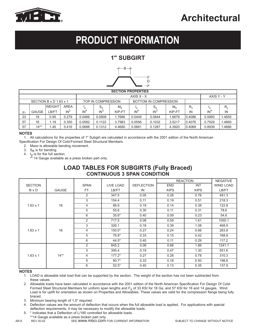

# **PRODUCT INFORMATION**

### **1" SUBGIRT**



|    |              |                        |             |                                             |        | <b>SECTION PROPERTIES</b> |                 |        |             |            |                 |         |
|----|--------------|------------------------|-------------|---------------------------------------------|--------|---------------------------|-----------------|--------|-------------|------------|-----------------|---------|
|    | AXIS X - X   |                        |             |                                             |        |                           |                 |        |             | AXIS Y - Y |                 |         |
|    |              | SECTION B x D 1.63 x 1 |             | BOTTOM IN COMPRESSION<br>TOP IN COMPRESSION |        |                           |                 |        |             |            |                 |         |
|    |              | <b>WEIGHT</b>          | <b>AREA</b> | 'x                                          | $S_e$  | $M_{\rm a}$               |                 | $S_e$  | $M_{\rm a}$ | $R_{x}$    | Iχ              | $R_{v}$ |
| Fy | <b>GAUGE</b> | B/FT                   | $IN^2$      | IN <sup>4</sup>                             | $IN^3$ | KIP-FT                    | IN <sup>4</sup> | $IN^3$ | KIP-FT      | IN         | IN <sup>4</sup> | IN      |
| 33 | 18           | 0.95                   | 0.279       | 0.0466                                      | 0.0909 | 1.7686                    | 0.0449          | 0.0844 | 1.6679      | 0.4086     | 0.5993          | 1.4655  |
| 57 | 16           | 1.19                   | 0.350       | 0.0582                                      | 0.1122 | 3.7983                    | 0.0556          | 0.1032 | 3.5217      | 0.4076     | 0.7529          | 1.4660  |
| 57 | $14**$       | 1.45                   | 0.416       | 0.0688                                      | 0.1312 | 4.4680                    | 0.0681          | 0.1287 | 4.3920      | 0.4068     | 0.8939          | .4666   |

#### **NOTES**

1. All calculations for the properties of 1" Subgirt are calculated in accordance with the 2001 edition of the North American<br>ecification Eor Design Of Cold-Eormed Steel Structural Members Specification For Design Of Cold-Formed Steel Structural Members.

2. Maxo is allowable bending movement.

3. Se is for bending.

4. Iy is for the full section. \*\* 14 Gauge available as a press broken part only.

### **LOAD TABLES FOR SUBGIRTS (Fully Braced) CONTINUOUS 3 SPAN CONDITION**

|                 |              |                |           |                   |             | <b>REACTION</b> | <b>NEGATIVE</b>  |
|-----------------|--------------|----------------|-----------|-------------------|-------------|-----------------|------------------|
| <b>SECTION</b>  |              | <b>SPAN</b>    | LIVE LOAD | <b>DEFLECTION</b> | <b>END</b>  | <b>INT</b>      | <b>WIND LOAD</b> |
| B x D           | <b>GAUGE</b> | FT.            | LB/FT     | IN.               | <b>KIPS</b> | <b>KIPS</b>     | LB/FT            |
|                 |              | 2              | 347.5     | 0.05              | 0.28        | 0.76            | 491.3            |
|                 |              | 3              | 154.4     | 0.11              | 0.19        | 0.51            | 218.3            |
| $1.63 \times 1$ | 18           | 4              | 86.9      | 0.19              | 0.14        | 0.38            | 122.8            |
|                 |              | 5              | 55.6      | 0.30              | 0.11        | 0.31            | 78.6             |
|                 |              | 6              | $35.6*$   | 0.40              | 0.09        | 0.23            | 54.6             |
|                 |              | 2              | 717.5     | 0.08              | 0.59        | 1.61            | 1055.1           |
|                 |              | 3              | 326.1     | 0.18              | 0.39        | 1.08            | 468.9            |
| $1.63 \times 1$ | 16           | 4              | $150.0*$  | 0.27              | 0.24        | 0.66            | 263.8            |
|                 |              | 5              | 76.8*     | 0.33              | 0.15        | 0.42            | 168.8            |
|                 |              | 6              | $44.5*$   | 0.40              | 0.11        | 0.29            | 117.2            |
|                 |              | $\overline{2}$ | 845.2     | 0.08              | 0.68        | 1.86            | 1241.1           |
|                 |              | 3              | 395.4     | 0.19              | 0.47        | 1.30            | 551.6            |
| $1.63 \times 1$ | $14**$       | 4              | $177.2*$  | 0.27              | 0.28        | 0.78            | 310.3            |
|                 |              | 5              | $90.7*$   | 0.33              | 0.18        | 0.50            | 198.6            |
|                 |              | 6              | $52.5*$   | 0.40              | 0.13        | 0.35            | 137.9            |

#### **NOTES**

- 1. LOAD is allowable total load that can be supported by the section. The weight of the section has not been subtracted from these values.
- 2. Allowable loads have been calculated in accordance with the 2001 edition of the North American Specification For Design Of Cold-Formed Steel Structural Members for uniform span lengths and  $F<sub>V</sub>$  of 33 KSI for 18 Ga. and 57 KSI for 16 and 14 gauges. Wind Load is for uplift for orientation as shown on Properties and Allowables. These values are valid for the compression flange being fully braced.
- 3. Minimum bearing length of 1.5" required.
- 4. Deflection values are the amount of deflection that occurs when the full allowable load is applied. For applications with special deflection requirements, it may be necessary to modify the allowable loads.
- 5. \* Indicates that a Deflection of L/180 controlled for allowable loads. \*\*14 Gauge available as a press broken part only.
- 

AR-6 REV 00.02 SEE WWW.MDCI.COM FOR CURRENT INFORMATION SUBJECT TO CHANGE WITHOUT NOTICE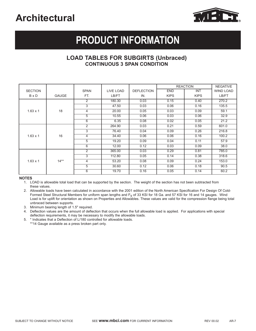

# **PRODUCT INFORMATION**

### **LOAD TABLES FOR SUBGIRTS (Unbraced) CONTINUOUS 3 SPAN CONDITION**

|                 |              |                |           |                   |             | <b>REACTION</b> | <b>NEGATIVE</b>  |
|-----------------|--------------|----------------|-----------|-------------------|-------------|-----------------|------------------|
| <b>SECTION</b>  |              | <b>SPAN</b>    | LIVE LOAD | <b>DEFLECTION</b> | <b>END</b>  | <b>INT</b>      | <b>WIND LOAD</b> |
| <b>B</b> x D    | <b>GAUGE</b> | FT.            | LB/FT     | IN.               | <b>KIPS</b> | <b>KIPS</b>     | LB/FT            |
|                 |              | $\overline{2}$ | 180.30    | 0.03              | 0.15        | 0.40            | 270.2            |
|                 |              | 3              | 47.50     | 0.03              | 0.06        | 0.16            | 135.5            |
| $1.63 \times 1$ | 18           | 4              | 20.00     | 0.05              | 0.03        | 0.09            | 59.1             |
|                 |              | 5              | 10.55     | 0.06              | 0.03        | 0.06            | 32.9             |
|                 |              | 6              | 6.35      | 0.08              | 0.02        | 0.05            | 21.2             |
|                 |              | $\overline{2}$ | 264.90    | 0.03              | 0.21        | 0.59            | 601.0            |
|                 |              | 3              | 76.40     | 0.04              | 0.09        | 0.26            | 216.8            |
| $1.63 \times 1$ | 16           | 4              | 34.40     | 0.06              | 0.06        | 0.16            | 100.2            |
|                 |              | 5              | 19.20     | 0.09              | 0.04        | 0.11            | 57.9             |
|                 |              | 6              | 12.00     | 0.12              | 0.03        | 0.09            | 38.0             |
|                 |              | $\overline{2}$ | 365.00    | 0.03              | 0.29        | 0.81            | 785.0            |
|                 |              | 3              | 112.80    | 0.05              | 0.14        | 0.38            | 318.6            |
| $1.63 \times 1$ | $14**$       | 4              | 53.20     | 0.08              | 0.09        | 0.24            | 153.0            |
|                 |              | 5              | 30.60     | 0.12              | 0.06        | 0.18            | 90.5             |
|                 |              | 6              | 19.70     | 0.16              | 0.05        | 0.14            | 60.2             |

#### **NOTES**

1. LOAD is allowable total load that can be supported by the section. The weight of the section has not been subtracted from these values.

2. Allowable loads have been calculated in accordance with the 2001 edition of the North American Specification For Design Of Cold-Formed Steel Structural Members for uniform span lengths and  $F<sub>V</sub>$  of 33 KSI for 18 Ga. and 57 KSI for 16 and 14 gauges. Wind Load is for uplift for orientation as shown on Properties and Allowables. These values are valid for the compression flange being total unbraced between supports.

3. Minimum bearing length of 1.5" required.

4. Deflection values are the amount of deflection that occurs when the full allowable load is applied. For applications with special deflection requirements, it may be necessary to modify the allowable loads.

5. \* Indicates that a Deflection of L/180 controlled for allowable loads.

\*\* 14 Gauge available as a press broken part only.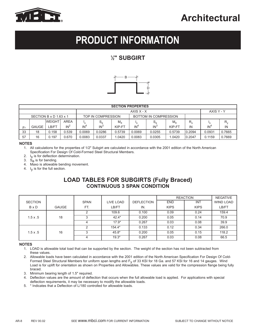

# **PRODUCT INFORMATION**

### **1 ⁄2" SUBGIRT**



|                        | <b>SECTION PROPERTIES</b> |               |             |                 |                                             |             |                 |                 |             |             |            |        |  |
|------------------------|---------------------------|---------------|-------------|-----------------|---------------------------------------------|-------------|-----------------|-----------------|-------------|-------------|------------|--------|--|
| $AXISX - X$            |                           |               |             |                 |                                             |             |                 |                 |             |             | AXIS Y - Y |        |  |
| SECTION B x D 1.63 x 1 |                           |               |             |                 | BOTTOM IN COMPRESSION<br>TOP IN COMPRESSION |             |                 |                 |             |             |            |        |  |
|                        |                           | <b>WEIGHT</b> | <b>AREA</b> |                 | $S_e$                                       | $M_{\rm a}$ | ıχ              | $S_e$           | $M_{\rm a}$ | $R_{\rm x}$ |            | R.,    |  |
| Fy                     | <b>GAUGE</b>              | _B/FT         | $IN^2$      | IN <sup>4</sup> | IN <sup>3</sup>                             | KIP-FT      | IN <sup>4</sup> | IN <sup>3</sup> | KIP-FT      | IN          | $IN^4$     | IN     |  |
| 33                     | 18                        | 0.158         | 0.539       | 0.0069          | 0.0286                                      | 0.5739      | 0.0069          | 0.0255          | 0.5739      | 0.2094      | 0.0931     | 0.7665 |  |
| 57                     | 16                        | 0.197         | 0.670       | 0.0083          | 0.0337                                      | .0420       | 0.0083          | 0.0305          | 1.0420      | 0.2047      | 0.1159     | 0.7669 |  |

#### **NOTES**

- 1. All calculations for the properties of 1/2" Subgirt are calculated in accordance with the 2001 edition of the North American Specification For Design Of Cold-Formed Steel Structural Members.
- 2.  $I_X$  is for deflection determination.
- 3.  $S_e$  is for bending.
- 4. Maxo is allowable bending movement.
- 4.  $I_V$  is for the full section.

### **LOAD TABLES FOR SUBGIRTS (Fully Braced) CONTINUOUS 3 SPAN CONDITION**

|                 |              |             |           |                   | <b>REACTION</b> |             | <b>NEGATIVE</b>  |
|-----------------|--------------|-------------|-----------|-------------------|-----------------|-------------|------------------|
| <b>SECTION</b>  |              | <b>SPAN</b> | LIVE LOAD | <b>DEFLECTION</b> | <b>END</b>      | <b>INT</b>  | <b>WIND LOAD</b> |
| <b>B</b> x D    | <b>GAUGE</b> | FT.         | LB/FT     | IN.               | <b>KIPS</b>     | <b>KIPS</b> | LB/FT            |
|                 |              |             | 109.6     | 0.100             | 0.09            | 0.24        | 159.4            |
| $1.5 \times .5$ | 18           |             | $42.4*$   | 0.200             | 0.05            | 0.14        | 70.9             |
|                 |              |             | $17.9*$   | 0.267             | 0.03            | 0.08        | 39.9             |
|                 |              |             | $154.4*$  | 0.133             | 0.12            | 0.34        | 266.0            |
| $1.5 \times .5$ | 16           |             | $45.8*$   | 0.200             | 0.05            | 0.15        | 118.2            |
|                 |              |             | $19.3*$   | 0.267             | 0.03            | 0.08        | 66.5             |

- 1. LOAD is allowable total load that can be supported by the section. The weight of the section has not been subtracted from these values.
- 2. Allowable loads have been calculated in accordance with the 2001 edition of the North American Specification For Design Of Cold-Formed Steel Structural Members for uniform span lengths and  $F<sub>V</sub>$  of 33 KSI for 18 Ga. and 57 KSI for 16 and 14 gauges. Wind Load is for uplift for orientation as shown on Properties and Allowables. These values are valid for the compression flange being fully braced.
- 3. Minimum bearing length of 1.5" required.
- 4. Deflection values are the amount of deflection that occurs when the full allowable load is applied. For applications with special deflection requirements, it may be necessary to modify the allowable loads.
- 5. \* Indicates that a Deflection of L/180 controlled for allowable loads.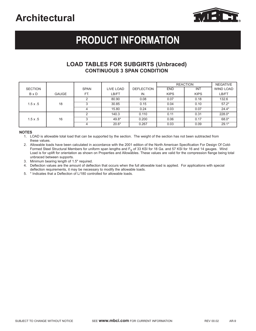

# **PRODUCT INFORMATION**

### **LOAD TABLES FOR SUBGIRTS (Unbraced) CONTINUOUS 3 SPAN CONDITION**

|                 |              |             |           |                   |             | <b>REACTION</b> | <b>NEGATIVE</b>  |
|-----------------|--------------|-------------|-----------|-------------------|-------------|-----------------|------------------|
| <b>SECTION</b>  |              | <b>SPAN</b> | LIVE LOAD | <b>DEFLECTION</b> | <b>END</b>  | <b>INT</b>      | <b>WIND LOAD</b> |
| <b>B</b> x D    | <b>GAUGE</b> | FT.         | LB/FT     | IN.               | <b>KIPS</b> | <b>KIPS</b>     | LB/FT            |
|                 |              |             | 80.90     | 0.08              | 0.07        | 0.18            | 132.6            |
| $1.5 \times .5$ | 18           |             | 30.85     | 0.15              | 0.04        | 0.10            | $57.2*$          |
|                 |              |             | 15.80     | 0.24              | 0.03        | 0.07            | $24.4*$          |
|                 |              |             | 140.3     | 0.110             | 0.11        | 0.31            | 228.0*           |
| $1.5 \times .5$ | 16           |             | 49.8*     | 0.200             | 0.06        | 0.17            | 68.0*            |
|                 |              |             | $20.6*$   | 0.267             | 0.03        | 0.09            | $29.1*$          |

#### **NOTES**

1. LOAD is allowable total load that can be supported by the section. The weight of the section has not been subtracted from these values.

2. Allowable loads have been calculated in accordance with the 2001 edition of the North American Specification For Design Of Cold-Formed Steel Structural Members for uniform span lengths and Fy of 33 KSI for 18 Ga. and 57 KSI for 16 and 14 gauges. Wind Load is for uplift for orientation as shown on Properties and Allowables. These values are valid for the compression flange being total unbraced between supports.

3. Minimum bearing length of 1.5" required.

4. Deflection values are the amount of deflection that occurs when the full allowable load is applied. For applications with special deflection requirements, it may be necessary to modify the allowable loads.

5. \* Indicates that a Deflection of L/180 controlled for allowable loads.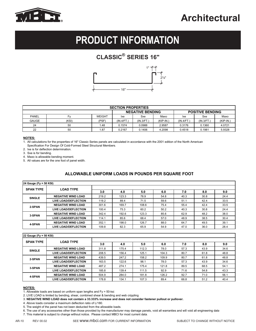

# **PRODUCT INFORMATION**

### **CLASSIC® SERIES 16"**



|                                                    | <b>SECTION PROPERTIES</b> |               |            |            |             |            |           |             |  |  |  |  |
|----------------------------------------------------|---------------------------|---------------|------------|------------|-------------|------------|-----------|-------------|--|--|--|--|
| <b>NEGATIVE BENDING</b><br><b>POSITIVE BENDING</b> |                           |               |            |            |             |            |           |             |  |  |  |  |
| <b>PANEL</b>                                       | Fv                        | <b>WEIGHT</b> | lxe        | Sxe        | Maxo        | lxe        | Sxe       | Maxo        |  |  |  |  |
| <b>GAUGE</b>                                       | (KSI)                     | (PSF)         | (IN.4/FT.) | (IN.3/FT.) | $(KIP-IN.)$ | (IN.4/FT.) | (IN.3/FT. | $(KIP-IN.)$ |  |  |  |  |
| 24                                                 | 50                        | 1.48          | 0.1574     | 0.0988     | 2.9587      | 0.3176     | 0.1360    | 4.0721      |  |  |  |  |
| 22                                                 | 50                        | 1.87          | 0.2167     | 0.1406     | 4.2098      | 0.4518     | 0.1981    | 5.9328      |  |  |  |  |

#### **NOTES:**

1. All calculations for the properties of 16" Classic Series panels are calculated in accordance with the 2001 edition of the North American

 Specification For Design Of Cold-Formed Steel Structural Members. 2. Ixe is for deflection determination.

3. Sxe is for bending.

4. Maxo is allowable bending moment.

5. All values are for the one foot of panel width.

#### **ALLOWABLE UNIFORM LOADS IN POUNDS PER SQUARE FOOT**

| 24 Gauge (Fy = 50 KSI) |                             |       |       |       |      |      |      |      |  |
|------------------------|-----------------------------|-------|-------|-------|------|------|------|------|--|
| <b>SPAN TYPE</b>       | <b>LOAD TYPE</b>            |       |       |       |      |      |      |      |  |
|                        |                             | 3.0   | 4.0   | 5.0   | 6.0  | 7.0  | 8.0  | 9.0  |  |
| <b>SINGLE</b>          | <b>NEGATIVE WIND LOAD</b>   | 219.2 | 123.3 | 78.9  | 54.8 | 40.3 | 30.8 | 24.4 |  |
|                        | <b>LIVE LOAD/DEFLECTION</b> | 119.2 | 89.4  | 71.5  | 59.6 | 51.1 | 42.4 | 33.5 |  |
| 2-SPAN                 | <b>NEGATIVE WIND LOAD</b>   | 301.6 | 169.7 | 108.6 | 75.4 | 55.4 | 42.4 | 33.5 |  |
|                        | <b>LIVE LOAD/DEFLECTION</b> | 100.4 | 75.3  | 60.2  | 50.2 | 40.3 | 30.8 | 24.4 |  |
| 3-SPAN                 | <b>NEGATIVE WIND LOAD</b>   | 342.4 | 192.6 | 123.3 | 85.6 | 62.9 | 48.2 | 38.0 |  |
|                        | <b>LIVE LOAD/DEFLECTION</b> | 114.1 | 85.6  | 68.4  | 57.0 | 48.9 | 38.5 | 30.4 |  |
| 4-SPAN                 | <b>NEGATIVE WIND LOAD</b>   | 352.1 | 198.0 | 126.7 | 88.0 | 64.7 | 49.5 | 39.1 |  |
|                        | <b>LIVE LOAD/DEFLECTION</b> | 109.8 | 82.3  | 65.9  | 54.9 | 47.0 | 36.0 | 28.4 |  |

| 22 Gauge (Fy = 50 KSI) |                             |       |       |       |       |      |      |      |  |
|------------------------|-----------------------------|-------|-------|-------|-------|------|------|------|--|
| <b>SPAN TYPE</b>       | <b>LOAD TYPE</b>            |       |       |       |       |      |      |      |  |
|                        |                             | 3.0   | 4.0   | 5.0   | 6.0   | 7.0  | 8.0  | 9.0  |  |
| <b>SINGLE</b>          | <b>NEGATIVE WIND LOAD</b>   | 311.8 | 175.4 | 112.3 | 78.0  | 57.3 | 43.9 | 34.6 |  |
|                        | <b>LIVE LOAD/DEFLECTION</b> | 208.5 | 156.4 | 125.1 | 104.3 | 80.7 | 61.8 | 48.8 |  |
| 2-SPAN                 | <b>NEGATIVE WIND LOAD</b>   | 439.5 | 247.2 | 158.2 | 109.9 | 80.7 | 61.8 | 48.8 |  |
|                        | <b>LIVE LOAD/DEFLECTION</b> | 163.5 | 122.6 | 98.1  | 78.0  | 57.3 | 43.9 | 34.6 |  |
| 3-SPAN                 | <b>NEGATIVE WIND LOAD</b>   | 487.2 | 274.1 | 175.4 | 121.8 | 89.5 | 68.5 | 54.1 |  |
|                        | <b>LIVE LOAD/DEFLECTION</b> | 185.8 | 139.4 | 111.5 | 92.9  | 71.6 | 54.8 | 43.3 |  |
| 4-SPAN                 | <b>NEGATIVE WIND LOAD</b>   | 504.9 | 284.0 | 181.8 | 126.2 | 92.7 | 71.0 | 56.1 |  |
|                        | <b>LIVE LOAD/DEFLECTION</b> | 178.8 | 134.1 | 107.3 | 89.4  | 66.8 | 51.2 | 40.4 |  |

#### **NOTES:**

1. Allowable loads are based on uniform span lengths and Fy = 50-ksi.

2. LIVE LOAD is limited by bending, shear, combined shear & bending and web crippling

3. **NEGATIVE WIND LOAD does not contain a 33.333% increase and does not consider fastener pullout or pullover.**

4. Above loads consider a maximum deflection ratio of L/180.

5. The weight of the panel has not been deducted from the allowable loads.

6. The use of any accessories other than those provided by the manufacturer may damage panels, void all warranties and will void all engineering data

7. This material is subject to change without notice. Please contact MBCI for most current data.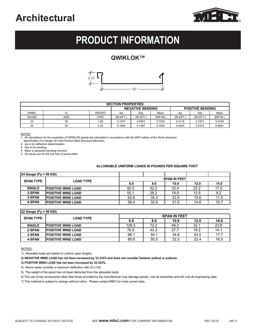

# **PRODUCT INFORMATION**

### **QWIKLOK™**



| <b>SECTION PROPERTIES</b>                          |       |               |            |           |             |           |           |             |  |  |
|----------------------------------------------------|-------|---------------|------------|-----------|-------------|-----------|-----------|-------------|--|--|
| <b>NEGATIVE BENDING</b><br><b>POSITIVE BENDING</b> |       |               |            |           |             |           |           |             |  |  |
| PANEL                                              | Fv    | <b>WEIGHT</b> | lxe        | Sxe       | Maxo        | lxe       | Sxe       | Maxo        |  |  |
| <b>GAUGE</b>                                       | (KSI) | (PSF)         | (IN.4/FT.) | (IN.3/FT. | $(KIP-IN.)$ | (IN.4/FT. | (IN.3/FT. | $(KIP-IN.)$ |  |  |
| 24                                                 | 50    | 1.85          | 0.1307     | 0.0903    | 2.7034      | 0.3118    | 0.1673    | 5.0108      |  |  |
| 22                                                 | 50    | 2.23          | 0.1905     | 0.1387    | 4.1530      | 0.4243    | 0.2314    | 6.9281      |  |  |

NOTES:

1. All calculations for the properties of QWIKLOK panels are calculated in accordance with the 2007 edition of the North American

Specification For Design Of Cold-Formed Steel Structural Members.

2. Ixe is for deflection determination.

3. Sxe is for bending.

4. Maxo is allowable bending moment.

5. All values are for the one foot of panel width.

#### **ALLOWABLE UNIFORM LOADS IN POUNDS PER SQUARE FOOT**

| $ 24 \text{ Gauge}$ (Fy = 50 KSI)    |                            |                     |      |      |      |      |  |  |  |
|--------------------------------------|----------------------------|---------------------|------|------|------|------|--|--|--|
| <b>SPAN TYPE</b><br><b>LOAD TYPE</b> |                            | <b>SPAN IN FEET</b> |      |      |      |      |  |  |  |
|                                      |                            | 6.0                 | 8.0  | 10.0 | 12.0 | 14.0 |  |  |  |
| <b>SINGLE</b>                        | <b>IPOSITIVE WIND LOAD</b> | 92.0                | 52.2 | 33.4 | 23.2 | 17.0 |  |  |  |
| 2-SPAN                               | <b>POSITIVE WIND LOAD</b>  | 50.1                | 28.2 | 18.0 | 12.5 | 9.2  |  |  |  |
| 3-SPAN                               | <b>IPOSITIVE WIND LOAD</b> | 62.6                | 35.2 | 22.5 | 15.6 | 11.5 |  |  |  |
| 4-SPAN                               | <b>IPOSITIVE WIND LOAD</b> | 58.4                | 32.9 | 21.0 | 14.6 | 10.7 |  |  |  |

| $ 22 \text{ Gauge}$ (Fy = 50 KSI) |                            |                     |      |      |      |      |  |  |  |
|-----------------------------------|----------------------------|---------------------|------|------|------|------|--|--|--|
| <b>SPAN TYPE</b>                  | <b>LOAD TYPE</b>           | <b>SPAN IN FEET</b> |      |      |      |      |  |  |  |
|                                   |                            | 6.0                 | 8.0  | 10.0 | 12.0 | 14.0 |  |  |  |
| <b>SINGLE</b>                     | <b>IPOSITIVE WIND LOAD</b> | 128.3               | 72.2 | 46.2 | 32.1 | 23.6 |  |  |  |
| 2-SPAN                            | <b>IPOSITIVE WIND LOAD</b> | 76.9                | 43.3 | 27.7 | 19.2 | 14.1 |  |  |  |
| 3-SPAN                            | <b>IPOSITIVE WIND LOAD</b> | 96.1                | 54.1 | 34.6 | 24.0 | 17.7 |  |  |  |
| 4-SPAN                            | <b>IPOSITIVE WIND LOAD</b> | 89.8                | 50.5 | 32.3 | 22.4 | 16.5 |  |  |  |

NOTES:

1) Allowable loads are based on uniform span lengths.

**2) NEGATIVE WIND LOAD has not been increased by 33.333% and does not consider fastener pullout or pullover.**

**3) POSITIVE WIND LOAD has not been increased by 33.333%.**

4) Above loads consider a maximum deflection ratio of L/120.

5) The weight of the panel has not been deducted from the allowable loads.

6) The use of any accessories other than those provided by the manufacturer may damage panels, void all warranties and will void all engineering data.

7) This material is subject to change without notice. Please contact MBCI for most current data.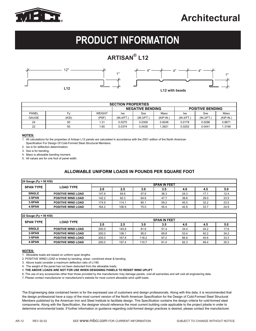

# **PRODUCT INFORMATION**

### **ARTISAN® L12**





| <b>SECTION PROPERTIES</b>                          |       |               |            |           |             |            |            |             |  |  |  |
|----------------------------------------------------|-------|---------------|------------|-----------|-------------|------------|------------|-------------|--|--|--|
| <b>NEGATIVE BENDING</b><br><b>POSITIVE BENDING</b> |       |               |            |           |             |            |            |             |  |  |  |
| PANEL                                              | Fv    | <b>WEIGHT</b> | lxe        | Sxe       | Maxo        | lxe        | Sxe        | Maxo        |  |  |  |
| <b>GAUGE</b>                                       | (KSI) | (PSF)         | (IN.4/FT.) | (IN.3/FT. | $(KIP-IN.)$ | (IN.4/FT.) | (IN.3/FT.) | $(KIP-IN.)$ |  |  |  |
| 24                                                 | 50    | 1.31          | 0.0270     | 0.0309    | 0.9248      | 0.0178     | 0.0296     | 0.8871      |  |  |  |
| 22                                                 | 50    | 1.65          | 0.0374     | 0.0428    | .2821       | 0.0252     | 0.0441     | 1.3199      |  |  |  |

#### **NOTES:**

1. All calculations for the properties of Artisan L12 panels are calculated in accordance with the 2001 edition of the North American Specification For Design Of Cold-Formed Steel Structural Members.

2. Ixe is for deflection determination.

3. Sxe is for bending.

4. Maxo is allowable bending moment.

5. All values are for one foot of panel width.

#### **ALLOWABLE UNIFORM LOADS IN POUNDS PER SQUARE FOOT**

| [24 Gauge (Fy = 50 KSI) |                           |       |       |      |                     |      |      |      |
|-------------------------|---------------------------|-------|-------|------|---------------------|------|------|------|
|                         |                           |       |       |      | <b>SPAN IN FEET</b> |      |      |      |
| <b>SPAN TYPE</b>        | <b>LOAD TYPE</b>          | 2.0   | 2.5   | 3.0  | 3.5                 | 4.0  | 4.5  | 5.0  |
| <b>SINGLE</b>           | <b>POSITIVE WIND LOAD</b> | 147.9 | 94.6  | 57.6 | 36.3                | 24.3 | 17.1 | 12.4 |
| 2-SPAN                  | <b>POSITIVE WIND LOAD</b> | 142.2 | 92.3  | 64.6 | 47.7                | 36.6 | 29.0 | 23.5 |
| 3-SPAN                  | <b>POSITIVE WIND LOAD</b> | 174.9 | 114.1 | 80.1 | 59.2                | 45.5 | 32.2 | 23.5 |
| 4-SPAN                  | <b>POSITIVE WIND LOAD</b> | 164.2 | 106.9 | 75.0 | 55.4                | 42.6 | 33.7 | 24.9 |

| 22 Gauge (Fy = 50 KSI) |                           |                     |       |       |      |      |      |      |  |  |
|------------------------|---------------------------|---------------------|-------|-------|------|------|------|------|--|--|
| <b>SPAN TYPE</b>       | <b>LOAD TYPE</b>          | <b>SPAN IN FEET</b> |       |       |      |      |      |      |  |  |
|                        |                           | 2.0                 | 2.5   | 3.0   | 3.5  | 4.0  | 4.5  | 5.0  |  |  |
| <b>SINGLE</b>          | <b>POSITIVE WIND LOAD</b> | 200.0               | 140.8 | 81.6  | 51.4 | 34.4 | 24.2 | 17.6 |  |  |
| 2-SPAN                 | <b>POSITIVE WIND LOAD</b> | 200.0               | 136.1 | 95.0  | 69.8 | 53.4 | 42.2 | 34.2 |  |  |
| 3-SPAN                 | <b>POSITIVE WIND LOAD</b> | 200.0               | 167.8 | 118.2 | 87.2 | 66.8 | 45.6 | 33.3 |  |  |
| 4-SPAN                 | <b>POSITIVE WIND LOAD</b> | 200.0               | 157.4 | 110.7 | 81.4 | 62.3 | 48.4 | 35.3 |  |  |

#### **NOTES:**

1. Allowable loads are based on uniform span lengths.

2. POSITIVE WIND LOAD is limited by bending, shear, combined shear & bending.

3. Above loads consider a maximum deflection ratio of L/180.

4. The weight of the panel has not been deducted from the allowable loads.

5. **THE ABOVE LOADS ARE NOT FOR USE WHEN DESIGNING PANELS TO RESIST WIND UPLIFT**

6. The use of any accessories other than those provided by the manufacturer may damage panels, void all warranties and will void all engineering data.

7. Please contact manufacturer or manufacturer's website for most current allowable wind uplift loads.

The Engineerigng data contained herein is for the expressed use of customers and design professionals. Along with this data, it is recommended that the design professional have a copy of the most current version of the North American Specification for the Design of Cold-Formed Steel Structural Members published by the American Iron and Steel Institute to facilitate design. This Specification contains the design criteria for cold-formed steel components. Along with the Specification, the designer should reference the most current building code applicable to the project jobsite in order to determine enviromental loads. If further information or guidance regarding cold-formed design practices is desired, please contact the manufacturer.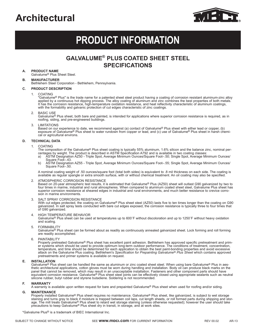

# **PRODUCT INFORMATION**

### **GALVALUME® PLUS COATED SHEET STEEL SPECIFICATIONS**

**A. PRODUCT NAME**

Galvalume® Plus Sheet Steel.

#### **B. MANUFACTURER**

Bethlehem Steel Corporation - Bethlehem, Pennsylvania.

- **C. PRODUCT DESCRIPTION**
	- 1. COATING

 "Galvalume® Plus" is the trade name for a patented sheet steel product having a coating of corrosion resistant aluminum-zinc alloy applied by a continuous hot dipping process. The alloy coating of aluminum and zinc combines the best properties of both metals. It has the corrosion resistance, high-temperature oxidation resistance, and heat reflectivity characteristic of aluminum coatings, with the formability and galvanic protection of cut edges characteristic of zinc coatings.

2. BASIC USE

Galvalume<sup>®</sup> Plus sheet, both bare and painted, is intended for applications where superior corrosion resistance is required, as in roofing, siding, and pre-engineered buildings.

3. LIMITATIONS

 Based on our experience to date, we recommend against (a) contact of Galvalume® Plus sheet with either lead or copper, (b) exposure of Galvalume® Plus sheet to water rundown from copper or lead, and (c) use of Galvalume® Plus sheet in harsh chemical or agricultural environs.

#### **D. TECHNICAL DATA**

#### 1. COATING

 The composition of the Galvalume® Plus sheet coating is typically 55% aluminum, 1.6% silicon and the balance zinc, nominal percentages by weight. The product is described in ASTM Specification A792 and is available in two coating classes:

- a) ÄSTM Designation AZ50 Triple Spot, Average Minimum Ounces/Square Foot-.50; Single Spot, Average Minimum Ounces/ Square Foot–.43.
- b) ASTM Designation AZ55 Triple Spot, Average Minimum Ounces/Square Foot–.55; Single Spot, Average Minimum Ounces/ Square Foot–.50.

 A nominal coating weight of .50 ounces/square foot (total both sides) is equivalent to .8 mil thickness on each side. The coating is available as regular spangle or extra smooth surface, with or without chemical treatment. An oil coating may also be specified.

2. ATMOSPHERIC CORROSION RESISTANCE

 Based on 20-year atmospheric test results, it is estimated that Galvalume® Plus (AZ50) sheet will outlast G90 galvanized by two to four times in marine, industrial and rural atmospheres. When compared to aluminum coated sheet steel, Galvalume Plus sheet has superior corrosion resistance at sheared edges in industrial and rural environments, and much better resistance to crevice corrosion in marine environments.

3. SALT SPRAY CORROSION RESISTANCE

With cut edges protected, the coating on Galvalume® Plus sheet steel (AZ50) lasts five to ten times longer than the coating on G90 galvanized. In salt spray tests conducted with bare cut edges exposed, the corrosion resistance is typically three to four times that of G90 galvanized.

4. HIGH TEMPERATURE BEHAVIOR

 Galvalume® Plus sheet can be used at temperatures up to 600˚F without discoloration and up to 1250˚F without heavy oxidation and scaling.

5. FORMABILITY

 Galvalume® Plus sheet can be formed about as readily as continuously annealed galvanized sheet. Lock forming and roll forming are readily accomplished.

6. PAINTABILITY

Properly pretreated Galvalume® Plus sheet has excellent paint adhesion. Bethlehem has approved specific pretreatment and primer systems which should be used to provide optimum long-term outdoor performance. The conditions of treatment, concentration, temperature, and time should be determined for each application to obtain the best paint-bonding properties and avoid excessive attack on the Galvalume Plus coating. Bethlehem's *Specification for Prepainting Galvalume® Plus Sheet* which contains approved pretreatments and primer systems is available on request.

#### **E. INSTALLATION**

Galvalume<sup>®</sup> Plus sheet can be handled the same as aluminum or zinc coated sheet steel. When using bare Galvalume® Plus in aesthetic architectural applications, cotton gloves must be worn during handling and installation. Body oil can produce black marks on the panel that cannot be removed, which may result in an unacceptable installation. Fasteners and other component parts should have equivalent corrosion resistance. Galvalume® Plus sheet steel joints can be effectively closed using appropriate sealants such as neutral silicone rubber, butyl rubber and styrene butadiene. Soldering is not recommended.

#### **F. WARRANTY**

A warranty is available upon written request for bare and prepainted Galvalume® Plus sheet when used for roofing and/or siding.

#### **G. MAINTENANCE**

Properly installed Galvalume<sup>®</sup> Plus sheet requires no maintenance. Galvalume<sup>®</sup> Plus sheet, like galvanized, is subject to wet storage staining and turns gray to black if moisture is trapped between coil laps, cut length sheets, or roll formed parts during shipping and stor-<br>age. The mill treats Galvalume® Plus sheet to retard wet storage staining (unless precautions to keep Galvalume® Plus sheet dry in transit, in storage, and at work sites.

\*Galvalume Plus® is a trademark of BIEC International Inc.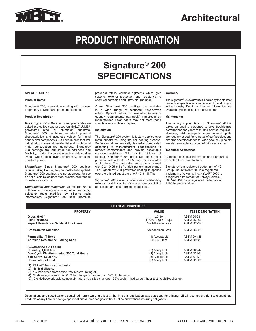

# **PRODUCT INFORMATION**

## **Signature® 200 SPECIFICATIONS**

#### **SPECIFICATIONS**

#### **Product Name**

Signature® 200, a premium coating with proven, proprietary polymer and premium pigments.

#### **Product Description**

*Uses:*Signature® 200 is a factory-applied and ovenbaked protective coating used on GALVALUME<sup>®</sup>,<br>qalvanized steel or aluminum substrate. steel or aluminum substrate. Signature® 200 combines excellent physical characteristics and aesthetic values for metal panels and components. Its uses in architectural, industrial, commercial, residential and institutional metal construction are numerous. Signature® 200 coatings are formulated for hardness and flexibility, making it a versatile and durable coating system when applied over a proprietary, corrosionresistant primer.

**Limitations:** Since Signature<sup>®</sup> 200 coatings require baking to cure, they cannot be field applied. Signature® 200 coatings are not approved for use on hot or cold rolled bare steel substrates intended for exterior exposure.

*Composition and Materials:* Signature® 200 is a thermoset coating consisting of a proprietary<br>polyester resin modified by silicone resin intermediate. Signature® 200 uses premium,

proven-durability ceramic pigments which give superior exterior protection and resistance to chemical corrosion and ultraviolet radiation.

**Color:** Signature<sup>®</sup> 200 coatings are available in a wide range of standard, field-proven colors. Special colors are available (minimum quantity requirements may apply) if approved by manufacturer. Polar White may not meet these<br>specifications – please inquire.

#### **Installation**

The Signature® 200 system is factory applied over metal substrates using the coil coating process. Surfaces shall be chemically cleaned and pretreated<br>according to manufacturers' specifications to remove contaminants and provide acceptable corrosion resistance. Total dry film thickness of topcoat (Signature® 200 protective coating and primer) is within the 0.9 - 1.05 range for coil coated applications. The pretreated substrate is primed with 0.2 - 0.25 mil of a high performance primer. The Signature® 200 protective coating is applied over the primed substrate at 0.7 - 0.8 mil. The

Signature® 200 systems incorporate outstanding exterior durability, while affording superior coil line application and post-forming capabilities.

#### **Warranty**

The Signature® 200 warranty is backed by the strictest<br>production specifications and is one of the strongest in the industry. Details and further information are available by contacting the manufacturer.

#### **Maintenance**

The factory applied finish of Signature® 200 is baked-on coating designed to give trouble-free performance for years with little service required. However, mild detergents and/or mineral spirits are recommended for removal of surface dust and airborne chemical deposits. Air-dry touch-up paints are also available for repair of minor scratches.

#### **Technical Assistance**

Complete technical information and literature is available from manufacturer.

Signature® is a registered trademark of NCI Group, Inc. KYNAR® 500 is a registered trademark of Arkema, Inc. HYLAR® 5000 is a registered trademark of Solvay Solexis. GALVALUME® is a registered trademark of BIEC International Inc.

| <b>PHYSICAL PROPERTIES</b>                                                                                                                           |                                                                      |                                                            |  |  |  |  |  |
|------------------------------------------------------------------------------------------------------------------------------------------------------|----------------------------------------------------------------------|------------------------------------------------------------|--|--|--|--|--|
| <b>PROPERTY</b>                                                                                                                                      | <b>VALUE</b>                                                         | <b>TEST DESIGNATION</b>                                    |  |  |  |  |  |
| Gloss $@60°$<br><b>Film Hardness</b><br><b>Impact Resistance, 3x Metal Thickness</b>                                                                 | $20 - 80$<br>F-Min (Eagle Turg.)<br>No Adhesion Loss                 | ASTM D523<br>ASTM D3363<br>ASTM D2794                      |  |  |  |  |  |
| <b>Cross-Hatch Adhesion</b>                                                                                                                          | No Adhesion Loss                                                     | ASTM D3359                                                 |  |  |  |  |  |
| <b>Formability: T-Bend</b><br>Abrasion Resistance, Falling Sand                                                                                      | (1) Acceptable<br>$35 \pm 5$ Liters                                  | ASTM D4145<br>ASTM D968                                    |  |  |  |  |  |
| <b>ACCELERATED TESTS:</b><br>Humidity, 1,000 hrs.<br>Dew Cycle Weatherometer, 200 Total Hours<br>Salt Spray, 1,000 hrs.<br><b>Chemical Spot Test</b> | (2) Acceptable<br>(4) Acceptable<br>(3) Acceptable<br>(5) Acceptable | ASTM D2247<br>ASTM D3361<br><b>ASTM B117</b><br>ASTM D1308 |  |  |  |  |  |
| (1) 2T to 4T, No loss of adhesion.<br>$\mathcal{L}(\mathbf{C})$ . All $\mathbf{C}$ is the Helphands of $\mathbf{C}$                                  |                                                                      |                                                            |  |  |  |  |  |

(2) No field blisters.

(3)  $\leq$ % inch creep from scribe, few blisters, rating of 8.

(4) Chalk rating no less than 8. Color change, no more than 5∆E Hunter units.

(5) 10% Hydrocoloric acid solution 24 hours no visible changes. 25% sodium hydroxide 1 hour test no visible change.

Descriptions and specifications contained herein were in effect at the time this publication was approved for printing. MBCI reserves the right to discontinue products at any time or change specifications and/or designs without notice and without incurring obligation.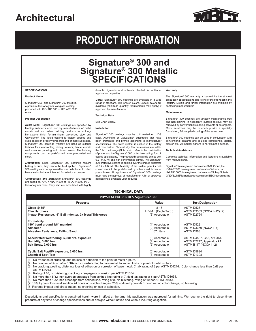

# **PRODUCT INFORMATION**

### **Signature® 300 and Signature® 300 Metallic SPECIFICATIONS**

#### . **SPECIFICATIONS**

#### **Product Name**

Signature® 300 and Signature® 300 Metallic, a premium fluoropolymer low gloss coating, produced with KYNAR® 500 or HYLAR® 5000 resin.

#### **Product Description**

**Basic Uses:** Signature® 300 coatings are specified by leading architects and used by manufacturers of metal curtain wall and other building products as a long-life exterior finish for aluminum, galvanized steel and Galvalume®. The liquid coating is factory applied and oven baked on properly prepared and primed substrates. Signature® 300 coatings typically are used as exterior wall, spandrel paneling and column covers. The building components can be post-formed from pre-coated coil stock.

*Limitations:* Since Signature<sup>®</sup> 300 coatings require baking to cure, they cannot be field applied. Signature<sup>®</sup> 300 coatings are not approved for use on hot or cold rolled bare steel substrates intended for exterior exposure.

*Composition and Materials:* Signature® 300 coatings are based on 70% KYNAR® 500 or HYLAR® 5000 PVDF<br>fluoropolymer resin. They also are formulated with highly durable pigments and solvents blended for optimum application properties.

**Color:** Signature® 300 coatings are available in a wide range of standard, field-proven colors. Special colors are available (minimum quantity requirements may apply) if approved by manufacturer.

#### **Technical Data**

See Chart Below.

#### **Installation**

Signature® 300 coatings may be coil coated on HDG steel, Aluminum or Galvalume® substrates that have been pretreated and primed according to manufacturer specifications. The entire system is applied in the factory and oven baked. Topcoat dry film thicknesses are within the 0.9-1.1 mil range (Note: which refers to the combination of primer and the Signature® 300 protective coating) for coil coated applications. The pretreated substrate is primed with 0.2 - 0.30 mil of a high performance primer. The Signature® 300 protective coating is applied over the primed substrate at 0.7 - 0.8 mil. The flexibility of the system permits coilcoated stock to be post-formed by either a roll former or press brake. All applicators of Signature® 300 coatings must have the approval of manufacturer. A list of approved applicators is available upon request.

#### **Warranty**

The Signature<sup>®</sup> 300 warranty is backed by the strictest production specifications and is one of the strongest in the industry. Details and further information are available by contacting manufacturer.

#### **Maintenance**

Signature® 300 coatings are virtually maintenance free and non-staining. If necessary, surface residue may be removed by conventional cleaning solvents or detergents. Minor scratches may be touched-up with a specially formulated, field-applied coating of the same color.

Signature® 300 coatings can be used in conjunction with conventional sealants and caulking compounds. Mortar, plaster, etc. will neither adhere to nor stain the surface.

#### **Technical Assistance**

Complete technical information and literature is available from manufacturer

Signature® is a registered trademark of NCI Group, Inc. KYNAR® 500 is a registered trademark of Arkema, Inc. HYLAR® 5000 is a registered trademark of Solvay Solexis. GALVALUME® is aregistered trademarkof BIEC International Inc.

#### **TECHNICAL DATA**

| <b>PHYSICAL PROPERTIES Signature® 300</b>                                                             |                                                    |                                                                                |  |  |  |  |  |
|-------------------------------------------------------------------------------------------------------|----------------------------------------------------|--------------------------------------------------------------------------------|--|--|--|--|--|
| <b>Property</b>                                                                                       | Value                                              | <b>Test Designation</b>                                                        |  |  |  |  |  |
| Gloss $@85^\circ$<br><b>Film Hardness</b><br>Impact Resistance, .5" Ball Indenter, 3x Metal Thickness | $8 - 15$<br>HB-Min (Eagle Turg.)<br>(8) Acceptable | ASTM D523<br>ASTM D3363 (NCCA II-12) (2)<br>ASTM D2794                         |  |  |  |  |  |
| Formability:<br>180° bend around 1/8" mandrel<br><b>Adhesion</b><br>Abrasion Resistance, Falling Sand | (1) Acceptable<br>(2) Acceptable<br>67 Liters      | ASTM D522<br><b>ASTM D3359 (NCCA II-5)</b><br>ASTM D968                        |  |  |  |  |  |
| Accelerated Weathering, 5,000 hrs. exposure<br>Humidity, 3,000 hrs.<br>Salt Spray, 2,000 hrs.         | (3) Acceptable<br>(4) Acceptable<br>(5) Acceptable | ASTM D4587, G53, or G154<br>ASTM D2247, Apparatus A1<br>ASTM B117 (NCCA III-2) |  |  |  |  |  |
| Cyclic Salt Fog/UV exposure, 3,000 hrs.<br><b>Chemical Spot Test</b>                                  | (6) Acceptable<br>(7) Acceptable                   | ASTM D5894<br><b>ASTM D1308</b>                                                |  |  |  |  |  |
| $(4)$ No outdones of arasking and no loss of adhesian to the naint of motal muture                    |                                                    |                                                                                |  |  |  |  |  |

(1) No evidence of cracking, and no loss of adhesion to the point of metal rupture.<br>(2) No removal of finish after 1/16-inch cross-hatching to bare metal, to impact limits or point of metal rupture.

(3) No cracking, peeling, blistering, loss of adhesion or corrosion of base metal. Chalk rating of 8 per ASTM D4214. Color change less than 5∆E per ASTM D2244.

(4) Rating of 10, no blistering, cracking, creepage or corrosion per ASTM D1654.

(5) No more than 5/32-inch average creepage from scribed line rating of 7, field test rating of 8 per ASTM D1654.

(6) No more than 1/32-inch creepage from scribed line, rating of 8. No blistering, rating of 10 per ASTM D1654.

(7) 10% Hydrocoloric acid solution 24 hours no visible changes. 25% sodium hydroxide 1 hour test no color change, no blistering.

(8) Reverse impact and direct impact, no cracking or loss of adhesion.

Descriptions and specifications contained herein were in effect at the time this publication was approved for printing. We reserve the right to discontinue products at any time or change specifications and/or designs without notice and without incurring obligation.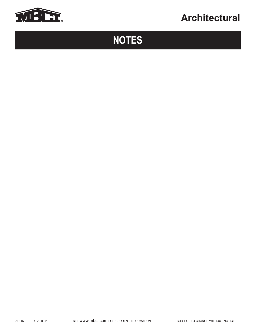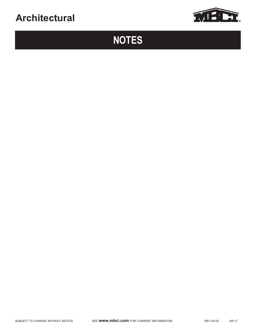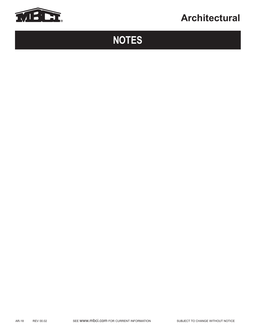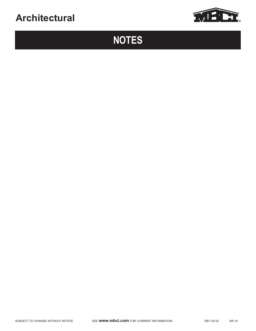